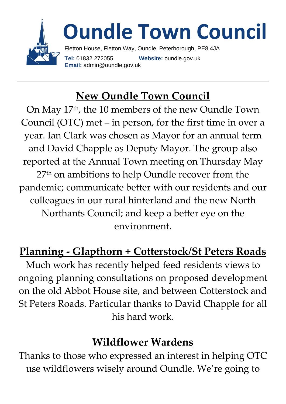

## **New Oundle Town Council**

On May 17th, the 10 members of the new Oundle Town Council (OTC) met – in person, for the first time in over a year. Ian Clark was chosen as Mayor for an annual term and David Chapple as Deputy Mayor. The group also reported at the Annual Town meeting on Thursday May 27<sup>th</sup> on ambitions to help Oundle recover from the pandemic; communicate better with our residents and our colleagues in our rural hinterland and the new North Northants Council; and keep a better eye on the environment.

# **Planning - Glapthorn + Cotterstock/St Peters Roads**

Much work has recently helped feed residents views to ongoing planning consultations on proposed development on the old Abbot House site, and between Cotterstock and St Peters Roads. Particular thanks to David Chapple for all his hard work.

#### **Wildflower Wardens**

Thanks to those who expressed an interest in helping OTC use wildflowers wisely around Oundle. We're going to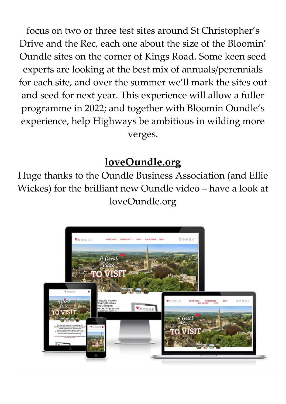focus on two or three test sites around St Christopher's Drive and the Rec, each one about the size of the Bloomin' Oundle sites on the corner of Kings Road. Some keen seed experts are looking at the best mix of annuals/perennials for each site, and over the summer we'll mark the sites out and seed for next year. This experience will allow a fuller programme in 2022; and together with Bloomin Oundle's experience, help Highways be ambitious in wilding more verges.

### **loveOundle.org**

Huge thanks to the Oundle Business Association (and Ellie Wickes) for the brilliant new Oundle video – have a look at loveOundle.org